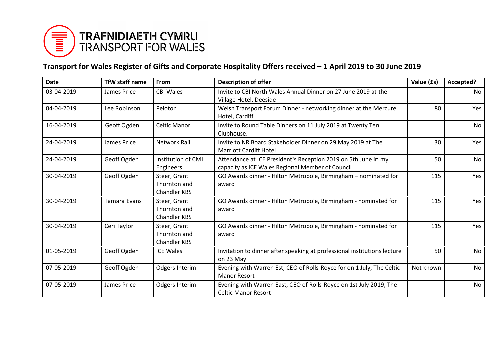

## **Transport for Wales Register of Gifts and Corporate Hospitality Offers received – 1 April 2019 to 30 June 2019**

| <b>Date</b> | <b>TfW staff name</b> | From                                                | <b>Description of offer</b>                                                                                        | Value (£s) | Accepted? |
|-------------|-----------------------|-----------------------------------------------------|--------------------------------------------------------------------------------------------------------------------|------------|-----------|
| 03-04-2019  | James Price           | <b>CBI Wales</b>                                    | Invite to CBI North Wales Annual Dinner on 27 June 2019 at the<br>Village Hotel, Deeside                           |            | No        |
| 04-04-2019  | Lee Robinson          | Peloton                                             | Welsh Transport Forum Dinner - networking dinner at the Mercure<br>Hotel, Cardiff                                  | 80         | Yes       |
| 16-04-2019  | Geoff Ogden           | <b>Celtic Manor</b>                                 | Invite to Round Table Dinners on 11 July 2019 at Twenty Ten<br>Clubhouse.                                          |            | <b>No</b> |
| 24-04-2019  | James Price           | <b>Network Rail</b>                                 | Invite to NR Board Stakeholder Dinner on 29 May 2019 at The<br><b>Marriott Cardiff Hotel</b>                       | 30         | Yes       |
| 24-04-2019  | Geoff Ogden           | Institution of Civil<br>Engineers                   | Attendance at ICE President's Reception 2019 on 5th June in my<br>capacity as ICE Wales Regional Member of Council | 50         | No        |
| 30-04-2019  | Geoff Ogden           | Steer, Grant<br>Thornton and<br><b>Chandler KBS</b> | GO Awards dinner - Hilton Metropole, Birmingham - nominated for<br>award                                           | 115        | Yes       |
| 30-04-2019  | <b>Tamara Evans</b>   | Steer, Grant<br>Thornton and<br><b>Chandler KBS</b> | GO Awards dinner - Hilton Metropole, Birmingham - nominated for<br>award                                           | 115        | Yes       |
| 30-04-2019  | Ceri Taylor           | Steer, Grant<br>Thornton and<br><b>Chandler KBS</b> | GO Awards dinner - Hilton Metropole, Birmingham - nominated for<br>award                                           | 115        | Yes       |
| 01-05-2019  | Geoff Ogden           | <b>ICE Wales</b>                                    | Invitation to dinner after speaking at professional institutions lecture<br>on 23 May                              | 50         | No        |
| 07-05-2019  | Geoff Ogden           | Odgers Interim                                      | Evening with Warren Est, CEO of Rolls-Royce for on 1 July, The Celtic<br><b>Manor Resort</b>                       | Not known  | No        |
| 07-05-2019  | James Price           | Odgers Interim                                      | Evening with Warren East, CEO of Rolls-Royce on 1st July 2019, The<br><b>Celtic Manor Resort</b>                   |            | No        |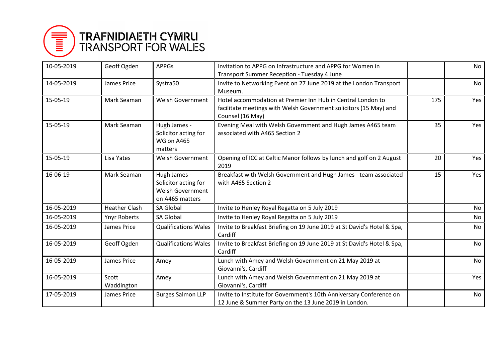

## **TRAFNIDIAETH CYMRU<br>TRANSPORT FOR WALES**

| 10-05-2019 | Geoff Ogden          | <b>APPGs</b>                                                                       | Invitation to APPG on Infrastructure and APPG for Women in<br>Transport Summer Reception - Tuesday 4 June                                            |     | <b>No</b> |
|------------|----------------------|------------------------------------------------------------------------------------|------------------------------------------------------------------------------------------------------------------------------------------------------|-----|-----------|
| 14-05-2019 | James Price          | Systra50                                                                           | Invite to Networking Event on 27 June 2019 at the London Transport<br>Museum.                                                                        |     | <b>No</b> |
| 15-05-19   | Mark Seaman          | <b>Welsh Government</b>                                                            | Hotel accommodation at Premier Inn Hub in Central London to<br>facilitate meetings with Welsh Government solicitors (15 May) and<br>Counsel (16 May) | 175 | Yes       |
| 15-05-19   | Mark Seaman          | Hugh James -<br>Solicitor acting for<br>WG on A465<br>matters                      | Evening Meal with Welsh Government and Hugh James A465 team<br>associated with A465 Section 2                                                        | 35  | Yes       |
| 15-05-19   | Lisa Yates           | <b>Welsh Government</b>                                                            | Opening of ICC at Celtic Manor follows by lunch and golf on 2 August<br>2019                                                                         | 20  | Yes       |
| 16-06-19   | Mark Seaman          | Hugh James -<br>Solicitor acting for<br><b>Welsh Government</b><br>on A465 matters | Breakfast with Welsh Government and Hugh James - team associated<br>with A465 Section 2                                                              | 15  | Yes       |
| 16-05-2019 | <b>Heather Clash</b> | <b>SA Global</b>                                                                   | Invite to Henley Royal Regatta on 5 July 2019                                                                                                        |     | No        |
| 16-05-2019 | <b>Ynyr Roberts</b>  | <b>SA Global</b>                                                                   | Invite to Henley Royal Regatta on 5 July 2019                                                                                                        |     | <b>No</b> |
| 16-05-2019 | <b>James Price</b>   | <b>Qualifications Wales</b>                                                        | Invite to Breakfast Briefing on 19 June 2019 at St David's Hotel & Spa,<br>Cardiff                                                                   |     | <b>No</b> |
| 16-05-2019 | Geoff Ogden          | <b>Qualifications Wales</b>                                                        | Invite to Breakfast Briefing on 19 June 2019 at St David's Hotel & Spa,<br>Cardiff                                                                   |     | No        |
| 16-05-2019 | James Price          | Amey                                                                               | Lunch with Amey and Welsh Government on 21 May 2019 at<br>Giovanni's, Cardiff                                                                        |     | <b>No</b> |
| 16-05-2019 | Scott<br>Waddington  | Amey                                                                               | Lunch with Amey and Welsh Government on 21 May 2019 at<br>Giovanni's, Cardiff                                                                        |     | Yes       |
| 17-05-2019 | James Price          | <b>Burges Salmon LLP</b>                                                           | Invite to Institute for Government's 10th Anniversary Conference on<br>12 June & Summer Party on the 13 June 2019 in London.                         |     | <b>No</b> |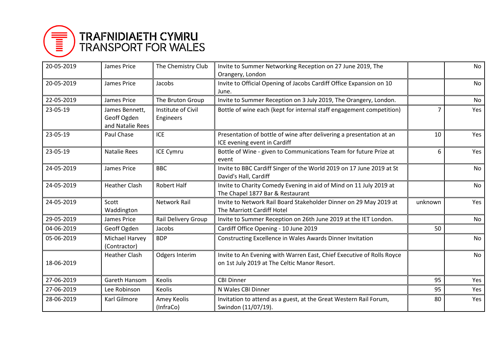

## **TRAFNIDIAETH CYMRU<br>TRANSPORT FOR WALES**

| 20-05-2019 | James Price                                       | The Chemistry Club              | Invite to Summer Networking Reception on 27 June 2019, The<br>Orangery, London                                        |                | No        |
|------------|---------------------------------------------------|---------------------------------|-----------------------------------------------------------------------------------------------------------------------|----------------|-----------|
| 20-05-2019 | James Price                                       | Jacobs                          | Invite to Official Opening of Jacobs Cardiff Office Expansion on 10<br>June.                                          |                | <b>No</b> |
| 22-05-2019 | James Price                                       | The Bruton Group                | Invite to Summer Reception on 3 July 2019, The Orangery, London.                                                      |                | No        |
| 23-05-19   | James Bennett,<br>Geoff Ogden<br>and Natalie Rees | Institute of Civil<br>Engineers | Bottle of wine each (kept for internal staff engagement competition)                                                  | $\overline{7}$ | Yes       |
| 23-05-19   | Paul Chase                                        | ICE                             | Presentation of bottle of wine after delivering a presentation at an<br>ICE evening event in Cardiff                  | 10             | Yes       |
| 23-05-19   | <b>Natalie Rees</b>                               | <b>ICE Cymru</b>                | Bottle of Wine - given to Communications Team for future Prize at<br>event                                            | 6              | Yes       |
| 24-05-2019 | James Price                                       | <b>BBC</b>                      | Invite to BBC Cardiff Singer of the World 2019 on 17 June 2019 at St<br>David's Hall, Cardiff                         |                | No        |
| 24-05-2019 | <b>Heather Clash</b>                              | <b>Robert Half</b>              | Invite to Charity Comedy Evening in aid of Mind on 11 July 2019 at<br>The Chapel 1877 Bar & Restaurant                |                | No        |
| 24-05-2019 | Scott<br>Waddington                               | <b>Network Rail</b>             | Invite to Network Rail Board Stakeholder Dinner on 29 May 2019 at<br>The Marriott Cardiff Hotel                       | unknown        | Yes       |
| 29-05-2019 | James Price                                       | Rail Delivery Group             | Invite to Summer Reception on 26th June 2019 at the IET London.                                                       |                | No        |
| 04-06-2019 | Geoff Ogden                                       | Jacobs                          | Cardiff Office Opening - 10 June 2019                                                                                 | 50             |           |
| 05-06-2019 | Michael Harvey<br>(Contractor)                    | <b>BDP</b>                      | Constructing Excellence in Wales Awards Dinner Invitation                                                             |                | No        |
| 18-06-2019 | <b>Heather Clash</b>                              | <b>Odgers Interim</b>           | Invite to An Evening with Warren East, Chief Executive of Rolls Royce<br>on 1st July 2019 at The Celtic Manor Resort. |                | No        |
| 27-06-2019 | Gareth Hansom                                     | Keolis                          | <b>CBI Dinner</b>                                                                                                     | 95             | Yes       |
| 27-06-2019 | Lee Robinson                                      | Keolis                          | N Wales CBI Dinner                                                                                                    | 95             | Yes       |
| 28-06-2019 | Karl Gilmore                                      | Amey Keolis<br>(InfraCo)        | Invitation to attend as a guest, at the Great Western Rail Forum,<br>Swindon (11/07/19).                              | 80             | Yes       |